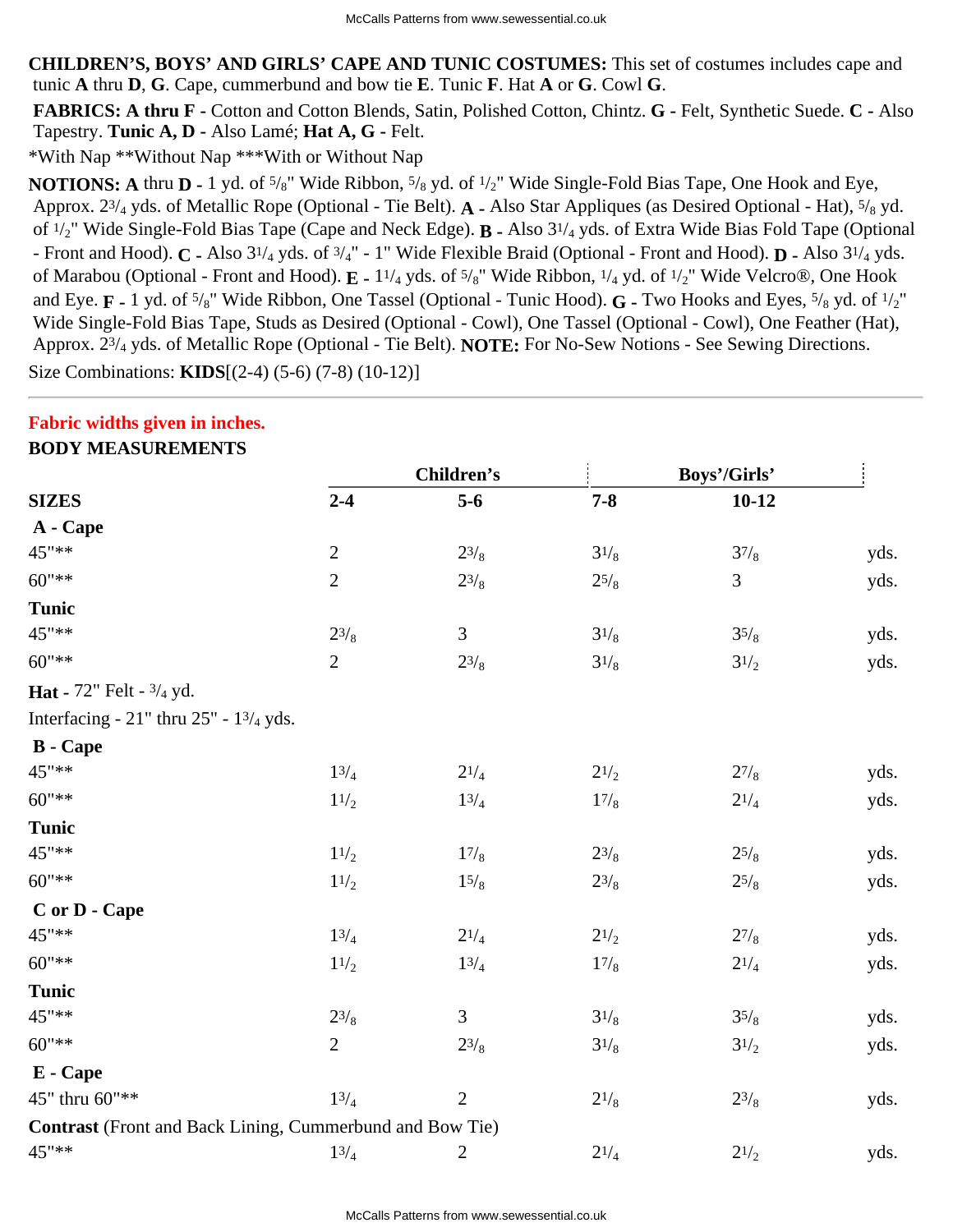**CHILDREN'S, BOYS' AND GIRLS' CAPE AND TUNIC COSTUMES:** This set of costumes includes cape and tunic **A** thru **D**, **G**. Cape, cummerbund and bow tie **E**. Tunic **F**. Hat **A** or **G**. Cowl **G**.

 **FABRICS: A thru F -** Cotton and Cotton Blends, Satin, Polished Cotton, Chintz. **G -** Felt, Synthetic Suede. **C -** Also Tapestry. **Tunic A, D -** Also Lamé; **Hat A, G -** Felt.

\*With Nap \*\*Without Nap \*\*\*With or Without Nap

**NOTIONS:** A thru **D** - 1 yd. of <sup>5</sup>/<sub>8</sub>" Wide Ribbon, <sup>5</sup>/<sub>8</sub> yd. of <sup>1</sup>/<sub>2</sub>" Wide Single-Fold Bias Tape, One Hook and Eye, Approx. 23/4 yds. of Metallic Rope (Optional - Tie Belt). **A -** Also Star Appliques (as Desired Optional - Hat), 5/8 yd. of 1/2" Wide Single-Fold Bias Tape (Cape and Neck Edge). **B -** Also 31/4 yds. of Extra Wide Bias Fold Tape (Optional - Front and Hood). **C -** Also 31/4 yds. of 3/4" - 1" Wide Flexible Braid (Optional - Front and Hood). **D -** Also 31/4 yds. of Marabou (Optional - Front and Hood). **E -** 11/4 yds. of 5/8" Wide Ribbon, 1/4 yd. of 1/2" Wide Velcro®, One Hook and Eye. **F -** 1 yd. of 5/8" Wide Ribbon, One Tassel (Optional - Tunic Hood). **G -** Two Hooks and Eyes, 5/8 yd. of 1/2" Wide Single-Fold Bias Tape, Studs as Desired (Optional - Cowl), One Tassel (Optional - Cowl), One Feather (Hat), Approx. 23/4 yds. of Metallic Rope (Optional - Tie Belt). **NOTE:** For No-Sew Notions - See Sewing Directions. Size Combinations: **KIDS**[(2-4) (5-6) (7-8) (10-12)]

## **Fabric widths given in inches.**

### **BODY MEASUREMENTS**

|                                                          | <b>Children's</b> |                | Boys'/Girls' |                  |      |
|----------------------------------------------------------|-------------------|----------------|--------------|------------------|------|
| <b>SIZES</b>                                             | $2 - 4$           | $5-6$          | $7 - 8$      | $10 - 12$        |      |
| A - Cape                                                 |                   |                |              |                  |      |
| 45"**                                                    | $\sqrt{2}$        | $2^{3}/_{8}$   | $3^{1/8}$    | 37/8             | yds. |
| $60"$ **                                                 | $\overline{2}$    | $2^{3/8}$      | $2^{5/8}$    | 3                | yds. |
| <b>Tunic</b>                                             |                   |                |              |                  |      |
| 45"**                                                    | $2^{3}/_8$        | 3              | $3^{1/8}$    | 35/8             | yds. |
| $60"$ **                                                 | $\overline{2}$    | $2^{3}/_{8}$   | $3^{1/8}$    | $3\frac{1}{2}$   | yds. |
| <b>Hat</b> - $72$ " Felt - $3/4$ yd.                     |                   |                |              |                  |      |
| Interfacing - $21$ " thru $25$ " - $13/4$ yds.           |                   |                |              |                  |      |
| <b>B</b> - Cape                                          |                   |                |              |                  |      |
| 45"**                                                    | 13/4              | $2^{1/4}$      | $2^{1/2}$    | $2^{7}/_8$       | yds. |
| $60"$ **                                                 | 11/2              | 13/4           | 17/8         | $2^{1/4}$        | yds. |
| <b>Tunic</b>                                             |                   |                |              |                  |      |
| 45"**                                                    | 11/2              | 17/8           | $2^{3}/_{8}$ | $2^{5/8}$        | yds. |
| $60"$ **                                                 | 11/2              | 15/8           | $2^{3}/_{8}$ | $25/\mathrm{_8}$ | yds. |
| C or D - Cape                                            |                   |                |              |                  |      |
| 45"**                                                    | 13/4              | $2^{1/4}$      | $2^{1/2}$    | 27/8             | yds. |
| $60"$ **                                                 | 11/2              | 13/4           | 17/8         | $2^{1/4}$        | yds. |
| <b>Tunic</b>                                             |                   |                |              |                  |      |
| 45"**                                                    | $2^{3}/_{8}$      | 3              | $3^{1/8}$    | 35/8             | yds. |
| $60"$ **                                                 | $\overline{2}$    | $2^{3}/_{8}$   | $3^{1/8}$    | $3^{1/2}$        | yds. |
| E - Cape                                                 |                   |                |              |                  |      |
| 45" thru 60"**                                           | 13/4              | $\overline{2}$ | $2^{1/8}$    | $2^{3}/_{8}$     | yds. |
| Contrast (Front and Back Lining, Cummerbund and Bow Tie) |                   |                |              |                  |      |
| 45"**                                                    | 13/4              | $\overline{c}$ | $2^{1/4}$    | $2^{1/2}$        | yds. |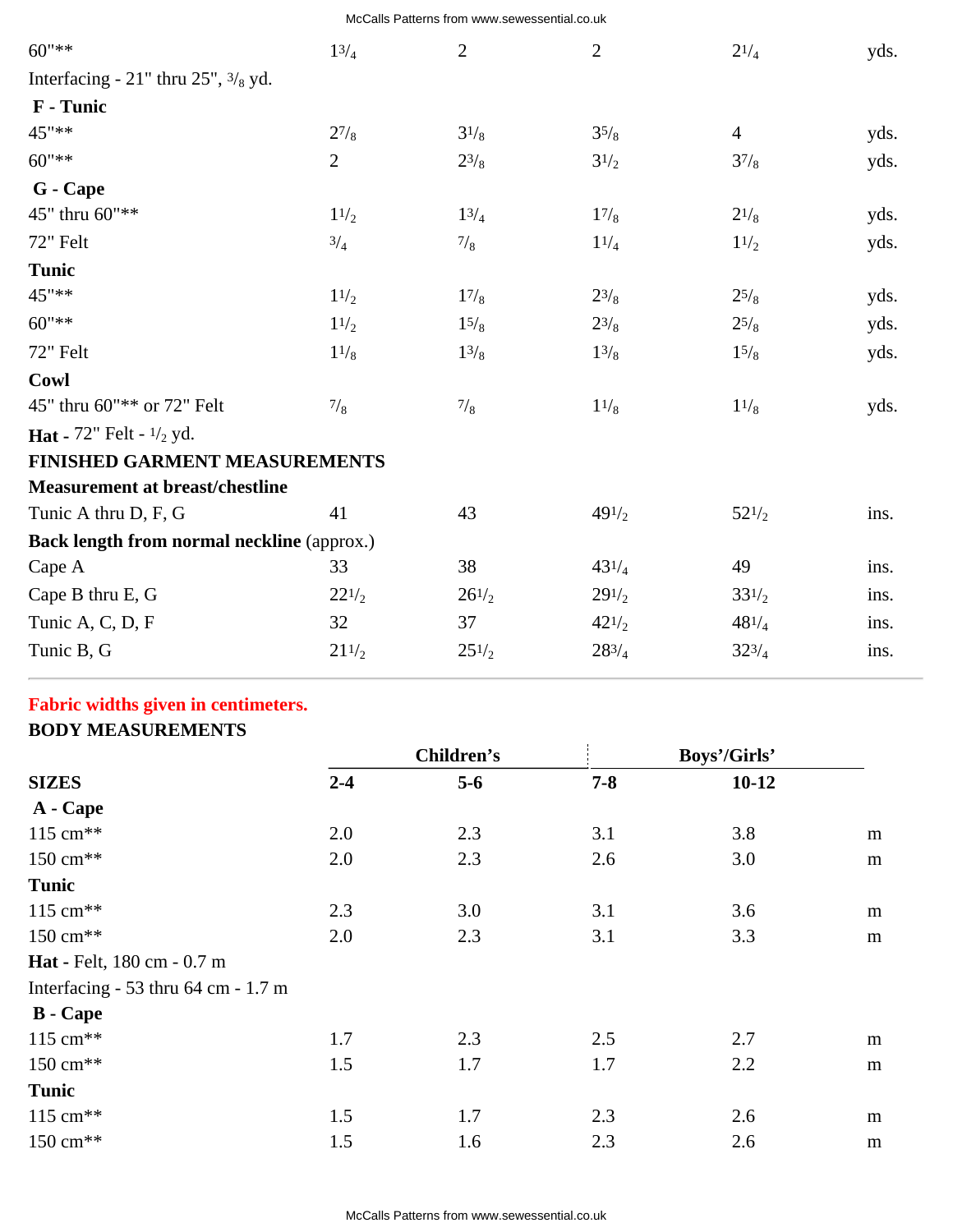| McCalls Patterns from www.sewessential.co.uk |  |
|----------------------------------------------|--|
|----------------------------------------------|--|

| $60"$ **                                            | 13/4            | $\overline{2}$ | $\mathbf{2}$  | $2^{1/4}$      | yds. |
|-----------------------------------------------------|-----------------|----------------|---------------|----------------|------|
| Interfacing - $21$ " thru $25$ ", $\frac{3}{8}$ yd. |                 |                |               |                |      |
| F - Tunic                                           |                 |                |               |                |      |
| 45"**                                               | $2^{7}/_8$      | $3^{1/8}$      | 35/8          | $\overline{4}$ | yds. |
| $60$ "**                                            | $\overline{2}$  | $2^{3}/_{8}$   | $3^{1/2}$     | 37/8           | yds. |
| G - Cape                                            |                 |                |               |                |      |
| 45" thru 60"**                                      | 11/2            | $1^{3/4}$      | 17/8          | $2^{1/8}$      | yds. |
| 72" Felt                                            | 3/4             | $\frac{7}{8}$  | 11/4          | 11/2           | yds. |
| Tunic                                               |                 |                |               |                |      |
| 45"**                                               | 11/2            | 17/8           | $2^{3}/_8$    | $2^{5}/_8$     | yds. |
| $60"$ **                                            | 11/2            | 15/8           | $2^{3}/_8$    | $2^{5}/_8$     | yds. |
| 72" Felt                                            | 11/8            | $1^{3/8}$      | 13/8          | 15/8           | yds. |
| Cowl                                                |                 |                |               |                |      |
| 45" thru 60"** or 72" Felt                          | $\frac{7}{8}$   | $\frac{7}{8}$  | 11/8          | 11/8           | yds. |
| <b>Hat</b> - 72" Felt - $\frac{1}{2}$ yd.           |                 |                |               |                |      |
| <b>FINISHED GARMENT MEASUREMENTS</b>                |                 |                |               |                |      |
| <b>Measurement at breast/chestline</b>              |                 |                |               |                |      |
| Tunic A thru D, F, G                                | 41              | 43             | 491/2         | $52^{1/2}$     | ins. |
| <b>Back length from normal neckline (approx.)</b>   |                 |                |               |                |      |
| Cape A                                              | 33              | 38             | $43^{1/4}$    | 49             | ins. |
| Cape B thru E, G                                    | $22^{1/2}$      | $26^{1/2}$     | $29^{1/2}$    | $33^{1/2}$     | ins. |
| Tunic A, C, D, F                                    | 32              | 37             | 421/2         | $48^{1/4}$     | ins. |
| Tunic B, G                                          | $21\frac{1}{2}$ | $25^{1/2}$     | $28^{3}/_{4}$ | $32^{3}/_4$    | ins. |
|                                                     |                 |                |               |                |      |

# **Fabric widths given in centimeters.**

## **BODY MEASUREMENTS**

| <b>SIZES</b>                        | Children's |       | Boys'/Girls' |         |           |
|-------------------------------------|------------|-------|--------------|---------|-----------|
|                                     | $2 - 4$    | $5-6$ | $7 - 8$      | $10-12$ |           |
| A - Cape                            |            |       |              |         |           |
| 115 cm <sup>**</sup>                | 2.0        | 2.3   | 3.1          | 3.8     | ${\bf m}$ |
| 150 cm <sup>**</sup>                | 2.0        | 2.3   | 2.6          | 3.0     | ${\bf m}$ |
| Tunic                               |            |       |              |         |           |
| $115 \text{ cm}^{**}$               | 2.3        | 3.0   | 3.1          | 3.6     | ${\bf m}$ |
| 150 cm <sup>**</sup>                | 2.0        | 2.3   | 3.1          | 3.3     | m         |
| <b>Hat</b> - Felt, 180 cm - 0.7 m   |            |       |              |         |           |
| Interfacing - 53 thru 64 cm - 1.7 m |            |       |              |         |           |
| <b>B</b> - Cape                     |            |       |              |         |           |
| $115 \text{ cm}^{**}$               | 1.7        | 2.3   | 2.5          | 2.7     | m         |
| 150 cm <sup>**</sup>                | 1.5        | 1.7   | 1.7          | 2.2     | ${\bf m}$ |
| <b>Tunic</b>                        |            |       |              |         |           |
| $115 \text{ cm}^{**}$               | 1.5        | 1.7   | 2.3          | 2.6     | m         |
| 150 cm <sup>**</sup>                | 1.5        | 1.6   | 2.3          | 2.6     | m         |